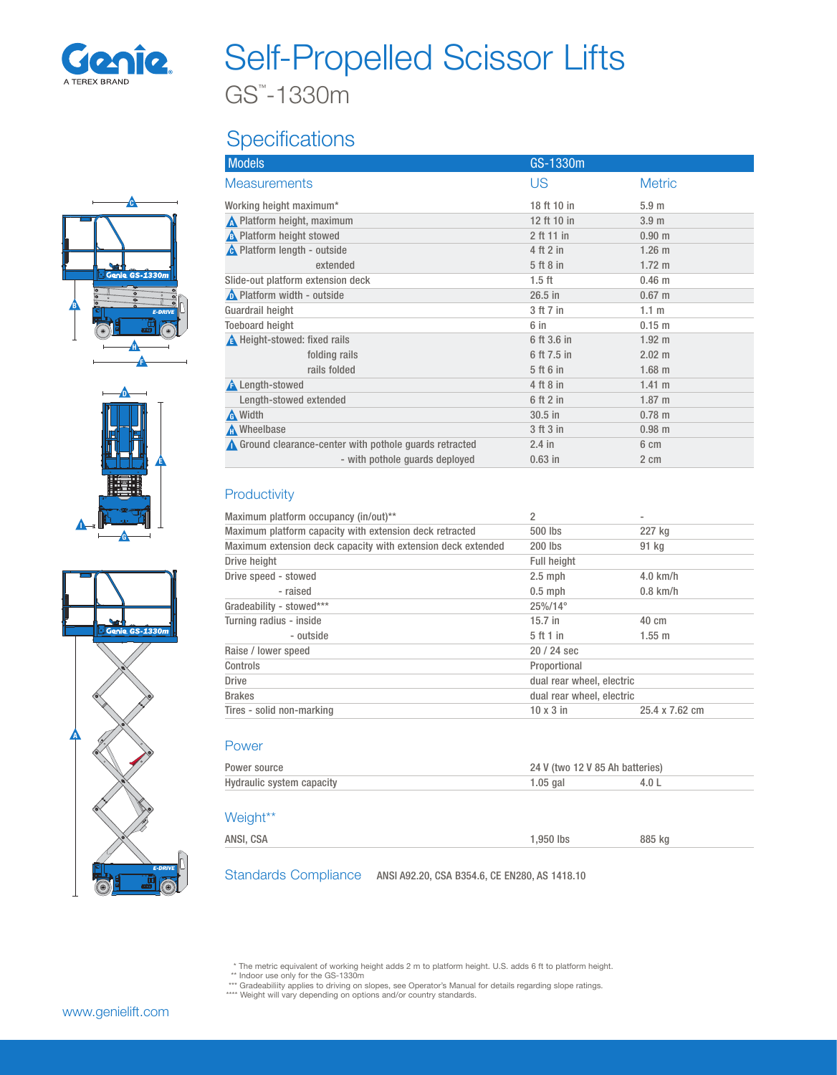

## Self-Propelled Scissor Lifts

GS™ -1330m

### **Specifications**







| <b>Models</b>                                                     | GS-1330m      |                  |
|-------------------------------------------------------------------|---------------|------------------|
| <b>Measurements</b>                                               | US            | <b>Metric</b>    |
| Working height maximum*                                           | 18 ft 10 in   | 5.9 <sub>m</sub> |
| No Platform height, maximum                                       | 12 ft 10 in   | 3.9 <sub>m</sub> |
| <b>A</b> Platform height stowed                                   | 2 ft 11 in    | $0.90 \;{\rm m}$ |
| <b>A</b> Platform length - outside                                | 4 ft 2 in     | $1.26$ m         |
| extended                                                          | 5 ft 8 in     | $1.72 \text{ m}$ |
| Slide-out platform extension deck                                 | $1.5$ ft      | $0.46$ m         |
| A Platform width - outside                                        | $26.5$ in     | $0.67$ m         |
| Guardrail height                                                  | 3 ft 7 in     | 1.1 <sub>m</sub> |
| <b>Toeboard height</b>                                            | 6 in          | $0.15 \; m$      |
| A Height-stowed: fixed rails                                      | 6 ft 3.6 in   | $1.92 \text{ m}$ |
| folding rails                                                     | 6 ft 7.5 in   | $2.02 \text{ m}$ |
| rails folded                                                      | 5 ft 6 in     | $1.68$ m         |
| <b>A</b> Length-stowed                                            | 4 ft 8 in     | 1.41 m           |
| Length-stowed extended                                            | $6$ ft $2$ in | $1.87 \;{\rm m}$ |
| A Width                                                           | $30.5$ in     | $0.78$ m         |
| Mheelbase                                                         | 3 ft 3 in     | $0.98$ m         |
| $\triangle$ Ground clearance-center with pothole guards retracted | $2.4$ in      | 6 cm             |
| - with pothole quards deployed                                    | $0.63$ in     | 2 cm             |

#### **Productivity**

| Maximum platform occupancy (in/out)**                        | 2                         |                 |
|--------------------------------------------------------------|---------------------------|-----------------|
| Maximum platform capacity with extension deck retracted      | 500 lbs                   | 227 kg          |
| Maximum extension deck capacity with extension deck extended | $200$ lbs                 | 91 kg           |
| Drive height                                                 | <b>Full height</b>        |                 |
| Drive speed - stowed                                         | $2.5$ mph                 | $4.0$ km/h      |
| - raised                                                     | $0.5$ mph                 | $0.8$ km/h      |
| Gradeability - stowed***                                     | $25\%/14^{\circ}$         |                 |
| Turning radius - inside                                      | $15.7$ in                 | $40 \text{ cm}$ |
| - outside                                                    | 5 ft 1 in                 | 1.55 m          |
| Raise / lower speed                                          | $20/24$ sec               |                 |
| Controls                                                     | Proportional              |                 |
| <b>Drive</b>                                                 | dual rear wheel, electric |                 |
| <b>Brakes</b>                                                | dual rear wheel, electric |                 |
| Tires - solid non-marking                                    | $10 \times 3$ in          | 25.4 x 7.62 cm  |

#### Power

| Power source              | 24 V (two 12 V 85 Ah batteries) |  |
|---------------------------|---------------------------------|--|
| Hydraulic system capacity | 1.05 gal                        |  |

#### Weight\*\*

| ANSI, CSA | 950 lbs | 885 kg |
|-----------|---------|--------|
|           |         |        |

Standards Compliance ANSI A92.20, CSA B354.6, CE EN280, AS 1418.10

\* The metric equivalent of working height adds 2 m to platform height. U.S. adds 6 ft to platform height.<br>\*\* Indoor use only for the GS-1330m<br>\*\*\* Gradeability applies to driving on slopes, see Operator's Manual for details